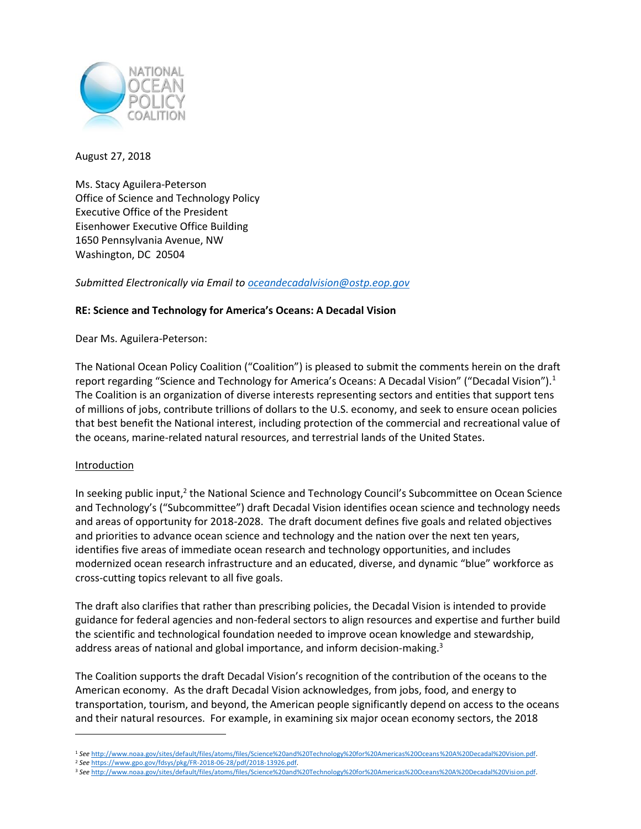

August 27, 2018

Ms. Stacy Aguilera-Peterson Office of Science and Technology Policy Executive Office of the President Eisenhower Executive Office Building 1650 Pennsylvania Avenue, NW Washington, DC 20504

*Submitted Electronically via Email t[o oceandecadalvision@ostp.eop.gov](mailto:oceandecadalvision@ostp.eop.gov)*

# **RE: Science and Technology for America's Oceans: A Decadal Vision**

Dear Ms. Aguilera-Peterson:

The National Ocean Policy Coalition ("Coalition") is pleased to submit the comments herein on the draft report regarding "Science and Technology for America's Oceans: A Decadal Vision" ("Decadal Vision").<sup>1</sup> The Coalition is an organization of diverse interests representing sectors and entities that support tens of millions of jobs, contribute trillions of dollars to the U.S. economy, and seek to ensure ocean policies that best benefit the National interest, including protection of the commercial and recreational value of the oceans, marine-related natural resources, and terrestrial lands of the United States.

## **Introduction**

l

In seeking public input,<sup>2</sup> the National Science and Technology Council's Subcommittee on Ocean Science and Technology's ("Subcommittee") draft Decadal Vision identifies ocean science and technology needs and areas of opportunity for 2018-2028. The draft document defines five goals and related objectives and priorities to advance ocean science and technology and the nation over the next ten years, identifies five areas of immediate ocean research and technology opportunities, and includes modernized ocean research infrastructure and an educated, diverse, and dynamic "blue" workforce as cross-cutting topics relevant to all five goals.

The draft also clarifies that rather than prescribing policies, the Decadal Vision is intended to provide guidance for federal agencies and non-federal sectors to align resources and expertise and further build the scientific and technological foundation needed to improve ocean knowledge and stewardship, address areas of national and global importance, and inform decision-making.<sup>3</sup>

The Coalition supports the draft Decadal Vision's recognition of the contribution of the oceans to the American economy. As the draft Decadal Vision acknowledges, from jobs, food, and energy to transportation, tourism, and beyond, the American people significantly depend on access to the oceans and their natural resources. For example, in examining six major ocean economy sectors, the 2018

<sup>2</sup> *See* [https://www.gpo.gov/fdsys/pkg/FR-2018-06-28/pdf/2018-13926.pdf.](https://www.gpo.gov/fdsys/pkg/FR-2018-06-28/pdf/2018-13926.pdf)

<sup>1</sup> *See* [http://www.noaa.gov/sites/default/files/atoms/files/Science%20and%20Technology%20for%20Americas%20Oceans%20A%20Decadal%20Vision.pdf.](http://www.noaa.gov/sites/default/files/atoms/files/Science%20and%20Technology%20for%20Americas%20Oceans%20A%20Decadal%20Vision.pdf) 

<sup>3</sup> *See* [http://www.noaa.gov/sites/default/files/atoms/files/Science%20and%20Technology%20for%20Americas%20Oceans%20A%20Decadal%20Vision.pdf.](http://www.noaa.gov/sites/default/files/atoms/files/Science%20and%20Technology%20for%20Americas%20Oceans%20A%20Decadal%20Vision.pdf)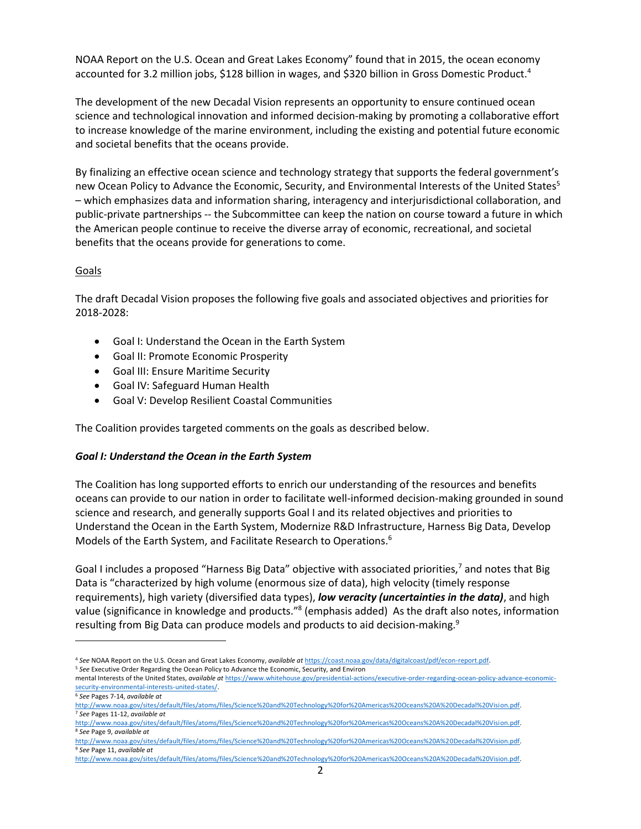NOAA Report on the U.S. Ocean and Great Lakes Economy" found that in 2015, the ocean economy accounted for 3.2 million jobs, \$128 billion in wages, and \$320 billion in Gross Domestic Product.<sup>4</sup>

The development of the new Decadal Vision represents an opportunity to ensure continued ocean science and technological innovation and informed decision-making by promoting a collaborative effort to increase knowledge of the marine environment, including the existing and potential future economic and societal benefits that the oceans provide.

By finalizing an effective ocean science and technology strategy that supports the federal government's new Ocean Policy to Advance the Economic, Security, and Environmental Interests of the United States<sup>5</sup> – which emphasizes data and information sharing, interagency and interjurisdictional collaboration, and public-private partnerships -- the Subcommittee can keep the nation on course toward a future in which the American people continue to receive the diverse array of economic, recreational, and societal benefits that the oceans provide for generations to come.

### Goals

The draft Decadal Vision proposes the following five goals and associated objectives and priorities for 2018-2028:

- Goal I: Understand the Ocean in the Earth System
- Goal II: Promote Economic Prosperity
- Goal III: Ensure Maritime Security
- Goal IV: Safeguard Human Health
- Goal V: Develop Resilient Coastal Communities

The Coalition provides targeted comments on the goals as described below.

## *Goal I: Understand the Ocean in the Earth System*

The Coalition has long supported efforts to enrich our understanding of the resources and benefits oceans can provide to our nation in order to facilitate well-informed decision-making grounded in sound science and research, and generally supports Goal I and its related objectives and priorities to Understand the Ocean in the Earth System, Modernize R&D Infrastructure, Harness Big Data, Develop Models of the Earth System, and Facilitate Research to Operations.<sup>6</sup>

Goal I includes a proposed "Harness Big Data" objective with associated priorities,<sup>7</sup> and notes that Big Data is "characterized by high volume (enormous size of data), high velocity (timely response requirements), high variety (diversified data types), *low veracity (uncertainties in the data)*, and high value (significance in knowledge and products."<sup>8</sup> (emphasis added) As the draft also notes, information resulting from Big Data can produce models and products to aid decision-making.<sup>9</sup>

 $\overline{a}$ 

<sup>4</sup> *See* NOAA Report on the U.S. Ocean and Great Lakes Economy, *available at* [https://coast.noaa.gov/data/digitalcoast/pdf/econ-report.pdf.](https://coast.noaa.gov/data/digitalcoast/pdf/econ-report.pdf) 

<sup>5</sup> *See* Executive Order Regarding the Ocean Policy to Advance the Economic, Security, and Environ

mental Interests of the United States, *available at* [https://www.whitehouse.gov/presidential-actions/executive-order-regarding-ocean-policy-advance-economic](https://www.whitehouse.gov/presidential-actions/executive-order-regarding-ocean-policy-advance-economic-security-environmental-interests-united-states/)[security-environmental-interests-united-states/.](https://www.whitehouse.gov/presidential-actions/executive-order-regarding-ocean-policy-advance-economic-security-environmental-interests-united-states/) 

<sup>6</sup> *See* Pages 7-14, *available at*

[http://www.noaa.gov/sites/default/files/atoms/files/Science%20and%20Technology%20for%20Americas%20Oceans%20A%20Decadal%20Vision.pdf.](http://www.noaa.gov/sites/default/files/atoms/files/Science%20and%20Technology%20for%20Americas%20Oceans%20A%20Decadal%20Vision.pdf) <sup>7</sup> *See* Pages 11-12, *available at*

[http://www.noaa.gov/sites/default/files/atoms/files/Science%20and%20Technology%20for%20Americas%20Oceans%20A%20Decadal%20Vision.pdf.](http://www.noaa.gov/sites/default/files/atoms/files/Science%20and%20Technology%20for%20Americas%20Oceans%20A%20Decadal%20Vision.pdf)  <sup>8</sup> *See* Page 9, *available at*

[http://www.noaa.gov/sites/default/files/atoms/files/Science%20and%20Technology%20for%20Americas%20Oceans%20A%20Decadal%20Vision.pdf.](http://www.noaa.gov/sites/default/files/atoms/files/Science%20and%20Technology%20for%20Americas%20Oceans%20A%20Decadal%20Vision.pdf) <sup>9</sup> *See* Page 11, *available at* [http://www.noaa.gov/sites/default/files/atoms/files/Science%20and%20Technology%20for%20Americas%20Oceans%20A%20Decadal%20Vision.pdf.](http://www.noaa.gov/sites/default/files/atoms/files/Science%20and%20Technology%20for%20Americas%20Oceans%20A%20Decadal%20Vision.pdf)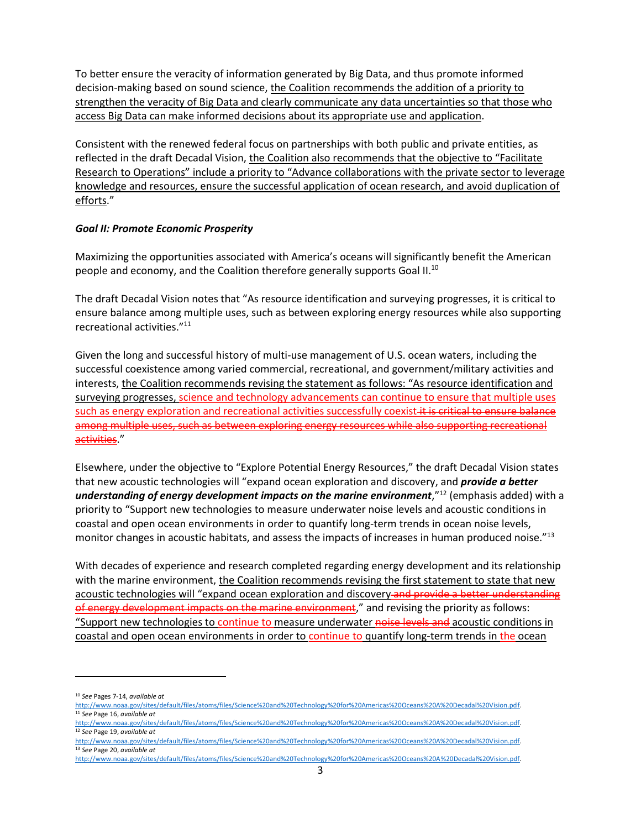To better ensure the veracity of information generated by Big Data, and thus promote informed decision-making based on sound science, the Coalition recommends the addition of a priority to strengthen the veracity of Big Data and clearly communicate any data uncertainties so that those who access Big Data can make informed decisions about its appropriate use and application.

Consistent with the renewed federal focus on partnerships with both public and private entities, as reflected in the draft Decadal Vision, the Coalition also recommends that the objective to "Facilitate Research to Operations" include a priority to "Advance collaborations with the private sector to leverage knowledge and resources, ensure the successful application of ocean research, and avoid duplication of efforts."

### *Goal II: Promote Economic Prosperity*

Maximizing the opportunities associated with America's oceans will significantly benefit the American people and economy, and the Coalition therefore generally supports Goal II.<sup>10</sup>

The draft Decadal Vision notes that "As resource identification and surveying progresses, it is critical to ensure balance among multiple uses, such as between exploring energy resources while also supporting recreational activities."<sup>11</sup>

Given the long and successful history of multi-use management of U.S. ocean waters, including the successful coexistence among varied commercial, recreational, and government/military activities and interests, the Coalition recommends revising the statement as follows: "As resource identification and surveying progresses, science and technology advancements can continue to ensure that multiple uses such as energy exploration and recreational activities successfully coexist it is critical to ensure balance among multiple uses, such as between exploring energy resources while also supporting recreational activities."

Elsewhere, under the objective to "Explore Potential Energy Resources," the draft Decadal Vision states that new acoustic technologies will "expand ocean exploration and discovery, and *provide a better understanding of energy development impacts on the marine environment*,"<sup>12</sup> (emphasis added) with a priority to "Support new technologies to measure underwater noise levels and acoustic conditions in coastal and open ocean environments in order to quantify long-term trends in ocean noise levels, monitor changes in acoustic habitats, and assess the impacts of increases in human produced noise."<sup>13</sup>

With decades of experience and research completed regarding energy development and its relationship with the marine environment, the Coalition recommends revising the first statement to state that new acoustic technologies will "expand ocean exploration and discovery and provide a better understanding of energy development impacts on the marine environment," and revising the priority as follows: "Support new technologies to continue to measure underwater noise levels and acoustic conditions in coastal and open ocean environments in order to continue to quantify long-term trends in the ocean

 $\overline{a}$ 

[http://www.noaa.gov/sites/default/files/atoms/files/Science%20and%20Technology%20for%20Americas%20Oceans%20A%20Decadal%20Vision.pdf.](http://www.noaa.gov/sites/default/files/atoms/files/Science%20and%20Technology%20for%20Americas%20Oceans%20A%20Decadal%20Vision.pdf) <sup>13</sup> *See* Page 20, *available at* [http://www.noaa.gov/sites/default/files/atoms/files/Science%20and%20Technology%20for%20Americas%20Oceans%20A%20Decadal%20Vision.pdf.](http://www.noaa.gov/sites/default/files/atoms/files/Science%20and%20Technology%20for%20Americas%20Oceans%20A%20Decadal%20Vision.pdf)

<sup>10</sup> *See* Pages 7-14, *available at*

[http://www.noaa.gov/sites/default/files/atoms/files/Science%20and%20Technology%20for%20Americas%20Oceans%20A%20Decadal%20Vision.pdf.](http://www.noaa.gov/sites/default/files/atoms/files/Science%20and%20Technology%20for%20Americas%20Oceans%20A%20Decadal%20Vision.pdf) <sup>11</sup> *See* Page 16, *available at*

[http://www.noaa.gov/sites/default/files/atoms/files/Science%20and%20Technology%20for%20Americas%20Oceans%20A%20Decadal%20Vision.pdf.](http://www.noaa.gov/sites/default/files/atoms/files/Science%20and%20Technology%20for%20Americas%20Oceans%20A%20Decadal%20Vision.pdf) <sup>12</sup> *See* Page 19, *available at*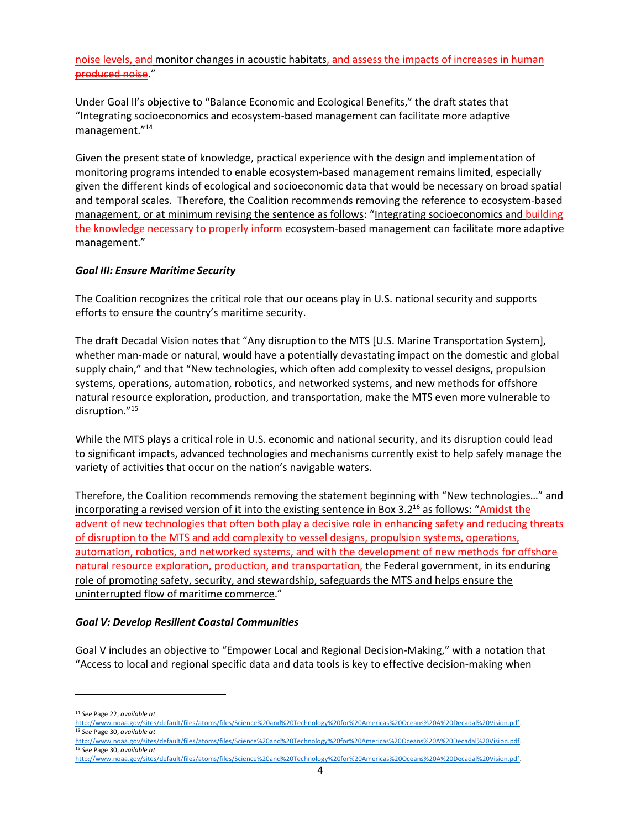noise levels, and monitor changes in acoustic habitats, and assess the impacts of increases in human produced noise."

Under Goal II's objective to "Balance Economic and Ecological Benefits," the draft states that "Integrating socioeconomics and ecosystem-based management can facilitate more adaptive management."<sup>14</sup>

Given the present state of knowledge, practical experience with the design and implementation of monitoring programs intended to enable ecosystem-based management remains limited, especially given the different kinds of ecological and socioeconomic data that would be necessary on broad spatial and temporal scales. Therefore, the Coalition recommends removing the reference to ecosystem-based management, or at minimum revising the sentence as follows: "Integrating socioeconomics and building the knowledge necessary to properly inform ecosystem-based management can facilitate more adaptive management."

### *Goal III: Ensure Maritime Security*

The Coalition recognizes the critical role that our oceans play in U.S. national security and supports efforts to ensure the country's maritime security.

The draft Decadal Vision notes that "Any disruption to the MTS [U.S. Marine Transportation System], whether man-made or natural, would have a potentially devastating impact on the domestic and global supply chain," and that "New technologies, which often add complexity to vessel designs, propulsion systems, operations, automation, robotics, and networked systems, and new methods for offshore natural resource exploration, production, and transportation, make the MTS even more vulnerable to disruption."<sup>15</sup>

While the MTS plays a critical role in U.S. economic and national security, and its disruption could lead to significant impacts, advanced technologies and mechanisms currently exist to help safely manage the variety of activities that occur on the nation's navigable waters.

Therefore, the Coalition recommends removing the statement beginning with "New technologies…" and incorporating a revised version of it into the existing sentence in Box 3.2<sup>16</sup> as follows: "Amidst the advent of new technologies that often both play a decisive role in enhancing safety and reducing threats of disruption to the MTS and add complexity to vessel designs, propulsion systems, operations, automation, robotics, and networked systems, and with the development of new methods for offshore natural resource exploration, production, and transportation, the Federal government, in its enduring role of promoting safety, security, and stewardship, safeguards the MTS and helps ensure the uninterrupted flow of maritime commerce."

#### *Goal V: Develop Resilient Coastal Communities*

Goal V includes an objective to "Empower Local and Regional Decision-Making," with a notation that "Access to local and regional specific data and data tools is key to effective decision-making when

 $\overline{\phantom{a}}$ 

[http://www.noaa.gov/sites/default/files/atoms/files/Science%20and%20Technology%20for%20Americas%20Oceans%20A%20Decadal%20Vision.pdf.](http://www.noaa.gov/sites/default/files/atoms/files/Science%20and%20Technology%20for%20Americas%20Oceans%20A%20Decadal%20Vision.pdf) <sup>16</sup> *See* Page 30, *available at*

<sup>14</sup> *See* Page 22, *available at*

[http://www.noaa.gov/sites/default/files/atoms/files/Science%20and%20Technology%20for%20Americas%20Oceans%20A%20Decadal%20Vision.pdf.](http://www.noaa.gov/sites/default/files/atoms/files/Science%20and%20Technology%20for%20Americas%20Oceans%20A%20Decadal%20Vision.pdf) <sup>15</sup> *See* Page 30, *available at*

[http://www.noaa.gov/sites/default/files/atoms/files/Science%20and%20Technology%20for%20Americas%20Oceans%20A%20Decadal%20Vision.pdf.](http://www.noaa.gov/sites/default/files/atoms/files/Science%20and%20Technology%20for%20Americas%20Oceans%20A%20Decadal%20Vision.pdf)